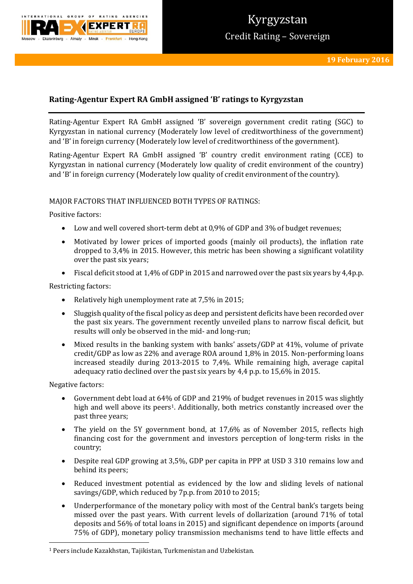

# Kyrgyzstan Credit Rating – Sovereign

# **Rating-Agentur Expert RA GmbH assigned 'B' ratings to Kyrgyzstan**

Rating-Agentur Expert RA GmbH assigned 'B' sovereign government credit rating (SGC) to Kyrgyzstan in national currency (Moderately low level of creditworthiness of the government) and 'B' in foreign currency (Moderately low level of creditworthiness of the government).

Rating-Agentur Expert RA GmbH assigned 'B' country credit environment rating (CCE) to Kyrgyzstan in national currency (Moderately low quality of credit environment of the country) and 'B' in foreign currency (Moderately low quality of credit environment of the country).

# MAJOR FACTORS THAT INFLUENCED BOTH TYPES OF RATINGS:

Positive factors:

- Low and well covered short-term debt at 0,9% of GDP and 3% of budget revenues;
- Motivated by lower prices of imported goods (mainly oil products), the inflation rate dropped to 3,4% in 2015. However, this metric has been showing a significant volatility over the past six years;
- Fiscal deficit stood at 1,4% of GDP in 2015 and narrowed over the past six years by 4,4p.p.

Restricting factors:

- Relatively high unemployment rate at 7,5% in 2015;
- Sluggish quality of the fiscal policy as deep and persistent deficits have been recorded over the past six years. The government recently unveiled plans to narrow fiscal deficit, but results will only be observed in the mid- and long-run;
- Mixed results in the banking system with banks' assets/GDP at 41%, volume of private credit/GDP as low as 22% and average ROA around 1,8% in 2015. Non-performing loans increased steadily during 2013-2015 to 7,4%. While remaining high, average capital adequacy ratio declined over the past six years by 4,4 p.p. to 15,6% in 2015.

Negative factors:

**.** 

- Government debt load at 64% of GDP and 219% of budget revenues in 2015 was slightly high and well above its peers<sup>1</sup>. Additionally, both metrics constantly increased over the past three years;
- The yield on the 5Y government bond, at 17,6% as of November 2015, reflects high financing cost for the government and investors perception of long-term risks in the country;
- Despite real GDP growing at 3,5%, GDP per capita in PPP at USD 3 310 remains low and behind its peers;
- Reduced investment potential as evidenced by the low and sliding levels of national savings/GDP, which reduced by 7p.p. from 2010 to 2015;
- Underperformance of the monetary policy with most of the Central bank's targets being missed over the past years. With current levels of dollarization (around 71% of total deposits and 56% of total loans in 2015) and significant dependence on imports (around 75% of GDP), monetary policy transmission mechanisms tend to have little effects and

<sup>1</sup> Peers include Kazakhstan, Tajikistan, Turkmenistan and Uzbekistan.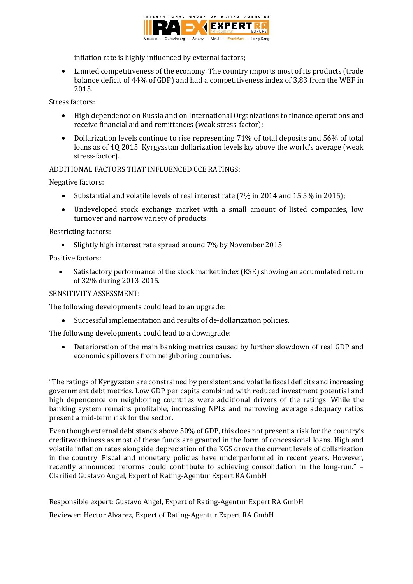

inflation rate is highly influenced by external factors;

 Limited competitiveness of the economy. The country imports most of its products (trade balance deficit of 44% of GDP) and had a competitiveness index of 3,83 from the WEF in 2015.

Stress factors:

- High dependence on Russia and on International Organizations to finance operations and receive financial aid and remittances (weak stress-factor);
- Dollarization levels continue to rise representing 71% of total deposits and 56% of total loans as of 4Q 2015. Kyrgyzstan dollarization levels lay above the world's average (weak stress-factor).

# ADDITIONAL FACTORS THAT INFLUENCED CCE RATINGS:

Negative factors:

- Substantial and volatile levels of real interest rate (7% in 2014 and 15,5% in 2015);
- Undeveloped stock exchange market with a small amount of listed companies, low turnover and narrow variety of products.

Restricting factors:

• Slightly high interest rate spread around 7% by November 2015.

Positive factors:

 Satisfactory performance of the stock market index (KSE) showing an accumulated return of 32% during 2013-2015.

## SENSITIVITY ASSESSMENT:

The following developments could lead to an upgrade:

Successful implementation and results of de-dollarization policies.

The following developments could lead to a downgrade:

 Deterioration of the main banking metrics caused by further slowdown of real GDP and economic spillovers from neighboring countries.

"The ratings of Kyrgyzstan are constrained by persistent and volatile fiscal deficits and increasing government debt metrics. Low GDP per capita combined with reduced investment potential and high dependence on neighboring countries were additional drivers of the ratings. While the banking system remains profitable, increasing NPLs and narrowing average adequacy ratios present a mid-term risk for the sector.

Even though external debt stands above 50% of GDP, this does not present a risk for the country's creditworthiness as most of these funds are granted in the form of concessional loans. High and volatile inflation rates alongside depreciation of the KGS drove the current levels of dollarization in the country. Fiscal and monetary policies have underperformed in recent years. However, recently announced reforms could contribute to achieving consolidation in the long-run." – Clarified Gustavo Angel, Expert of Rating-Agentur Expert RA GmbH

Responsible expert: Gustavo Angel, Expert of Rating-Agentur Expert RA GmbH

Reviewer: Hector Alvarez, Expert of Rating-Agentur Expert RA GmbH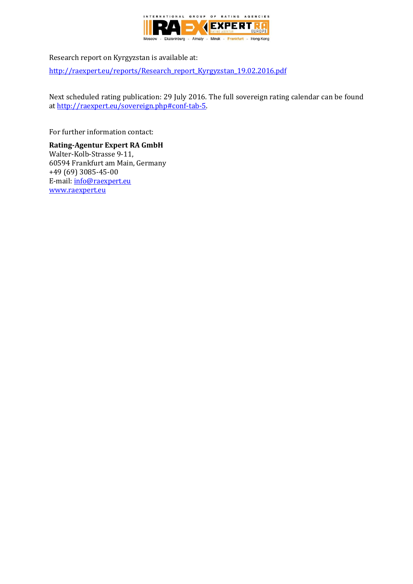

Research report on Kyrgyzstan is available at:

[http://raexpert.eu/reports/Research\\_report\\_Kyrgyzstan\\_19.02.2016.pdf](http://raexpert.eu/reports/Research_report_Kyrgyzstan_19.02.2016.pdf)

Next scheduled rating publication: 29 July 2016. The full sovereign rating calendar can be found at [http://raexpert.eu/sovereign.php#conf-tab-5.](http://raexpert.eu/sovereign.php#conf-tab-5)

For further information contact:

**Rating-Agentur Expert RA GmbH** Walter-Kolb-Strasse 9-11, 60594 Frankfurt am Main, Germany +49 (69) 3085-45-00 E-mail[: info@raexpert.eu](mailto:info@raexpert.eu) [www.raexpert.eu](http://raexpert.eu/)